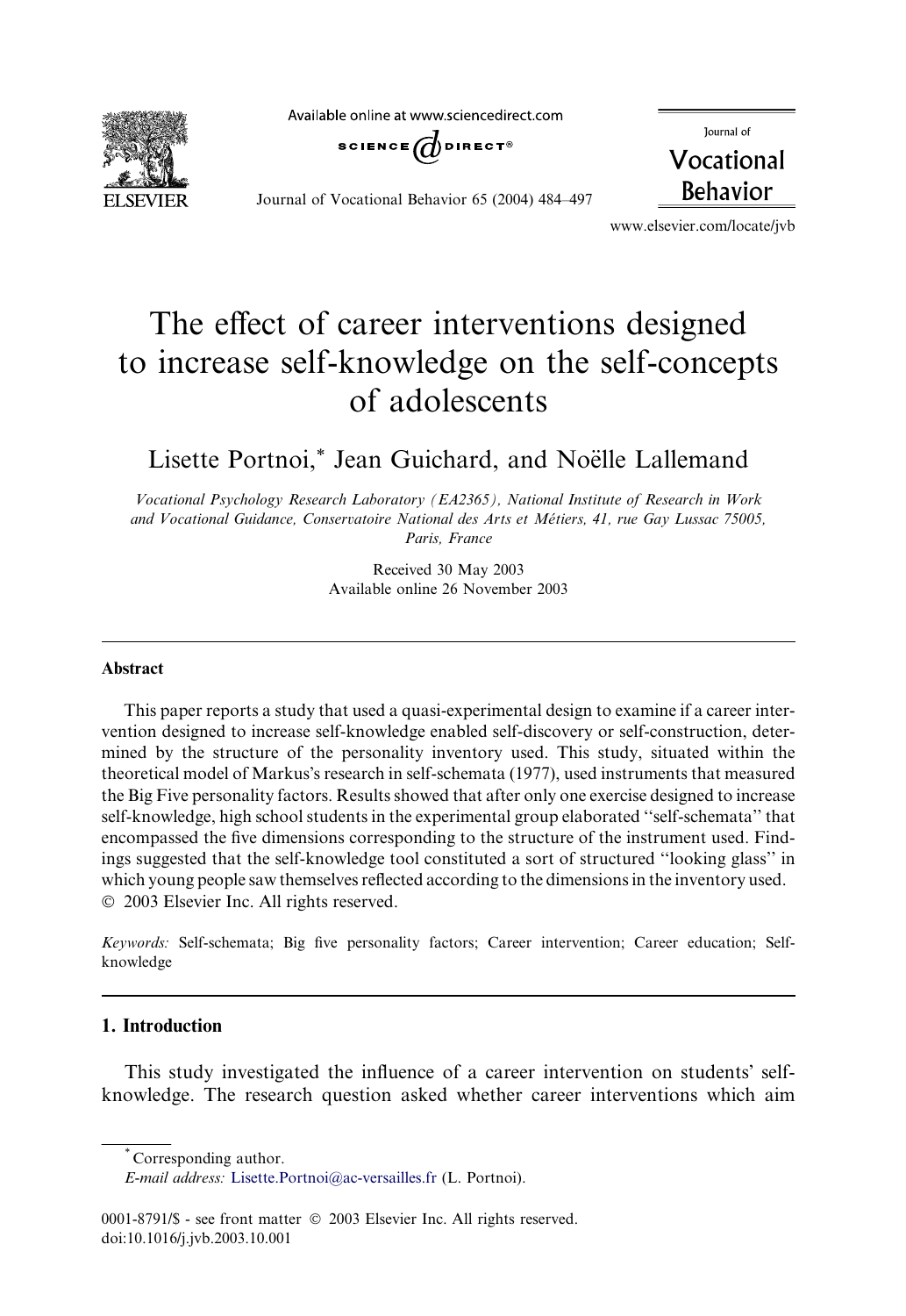**ELSEVIER** 

Available online at www.sciencedirect.com



Journal of Vocational Behavior 65 (2004) 484–497

Journal of Vocational **Behavior** 

www.elsevier.com/locate/jvb

# The effect of career interventions designed to increase self-knowledge on the self-concepts of adolescents

Lisette Portnoi,\* Jean Guichard, and Noëlle Lallemand

Vocational Psychology Research Laboratory (EA2365), National Institute of Research in Work and Vocational Guidance, Conservatoire National des Arts et Metiers, 41, rue Gay Lussac 75005, Paris, France

> Received 30 May 2003 Available online 26 November 2003

### Abstract

This paper reports a study that used a quasi-experimental design to examine if a career intervention designed to increase self-knowledge enabled self-discovery or self-construction, determined by the structure of the personality inventory used. This study, situated within the theoretical model of Markus's research in self-schemata (1977), used instruments that measured the Big Five personality factors. Results showed that after only one exercise designed to increase self-knowledge, high school students in the experimental group elaborated ''self-schemata'' that encompassed the five dimensions corresponding to the structure of the instrument used. Findings suggested that the self-knowledge tool constituted a sort of structured ''looking glass'' in which young people saw themselves reflected according to the dimensions in the inventory used. 2003 Elsevier Inc. All rights reserved.

Keywords: Self-schemata; Big five personality factors; Career intervention; Career education; Selfknowledge

## 1. Introduction

This study investigated the influence of a career intervention on students' selfknowledge. The research question asked whether career interventions which aim

<sup>\*</sup> Corresponding author.

E-mail address: [Lisette.Portnoi@ac-versailles.fr](mail to: Lisette.Portnoi@ac-versailles.fr) (L. Portnoi).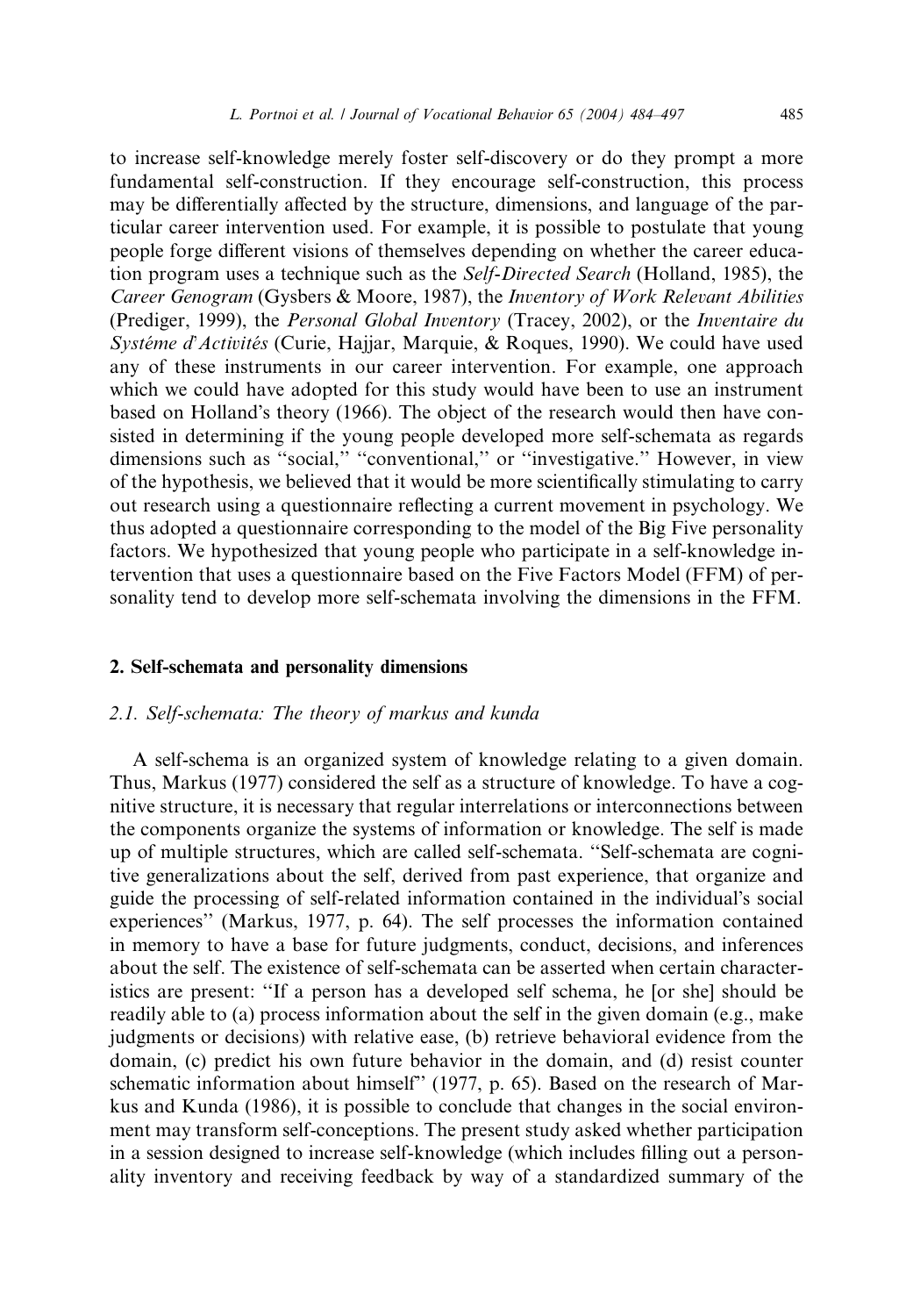to increase self-knowledge merely foster self-discovery or do they prompt a more fundamental self-construction. If they encourage self-construction, this process may be differentially affected by the structure, dimensions, and language of the particular career intervention used. For example, it is possible to postulate that young people forge different visions of themselves depending on whether the career education program uses a technique such as the *Self-Directed Search* (Holland, 1985), the Career Genogram (Gysbers & Moore, 1987), the Inventory of Work Relevant Abilities (Prediger, 1999), the Personal Global Inventory (Tracey, 2002), or the Inventaire du Systéme d'Activités (Curie, Hajjar, Marquie, & Roques, 1990). We could have used any of these instruments in our career intervention. For example, one approach which we could have adopted for this study would have been to use an instrument based on Holland's theory (1966). The object of the research would then have consisted in determining if the young people developed more self-schemata as regards dimensions such as "social," "conventional," or "investigative." However, in view of the hypothesis, we believed that it would be more scientifically stimulating to carry out research using a questionnaire reflecting a current movement in psychology. We thus adopted a questionnaire corresponding to the model of the Big Five personality factors. We hypothesized that young people who participate in a self-knowledge intervention that uses a questionnaire based on the Five Factors Model (FFM) of personality tend to develop more self-schemata involving the dimensions in the FFM.

#### 2. Self-schemata and personality dimensions

### 2.1. Self-schemata: The theory of markus and kunda

A self-schema is an organized system of knowledge relating to a given domain. Thus, Markus (1977) considered the self as a structure of knowledge. To have a cognitive structure, it is necessary that regular interrelations or interconnections between the components organize the systems of information or knowledge. The self is made up of multiple structures, which are called self-schemata. ''Self-schemata are cognitive generalizations about the self, derived from past experience, that organize and guide the processing of self-related information contained in the individual's social experiences'' (Markus, 1977, p. 64). The self processes the information contained in memory to have a base for future judgments, conduct, decisions, and inferences about the self. The existence of self-schemata can be asserted when certain characteristics are present: ''If a person has a developed self schema, he [or she] should be readily able to (a) process information about the self in the given domain (e.g., make judgments or decisions) with relative ease, (b) retrieve behavioral evidence from the domain, (c) predict his own future behavior in the domain, and (d) resist counter schematic information about himself'' (1977, p. 65). Based on the research of Markus and Kunda (1986), it is possible to conclude that changes in the social environment may transform self-conceptions. The present study asked whether participation in a session designed to increase self-knowledge (which includes filling out a personality inventory and receiving feedback by way of a standardized summary of the